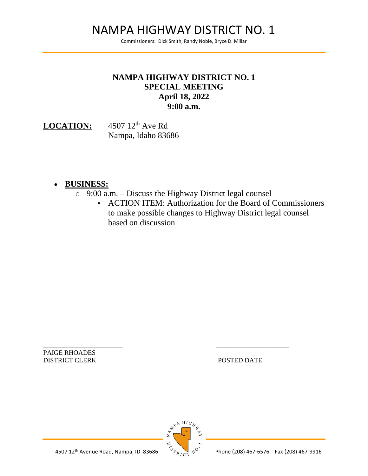# NAMPA HIGHWAY DISTRICT NO. 1

Commissioners: Dick Smith, Randy Noble, Bryce D. Millar

# **NAMPA HIGHWAY DISTRICT NO. 1 SPECIAL MEETING April 18, 2022 9:00 a.m.**

LOCATION: 4507 12<sup>th</sup> Ave Rd Nampa, Idaho 83686

### • **BUSINESS:**

- $\degree$  9:00 a.m. Discuss the Highway District legal counsel
	- ACTION ITEM: Authorization for the Board of Commissioners to make possible changes to Highway District legal counsel based on discussion

PAIGE RHOADES DISTRICT CLERK POSTED DATE



\_\_\_\_\_\_\_\_\_\_\_\_\_\_\_\_\_\_\_\_\_\_\_\_ \_\_\_\_\_\_\_\_\_\_\_\_\_\_\_\_\_\_\_\_\_\_